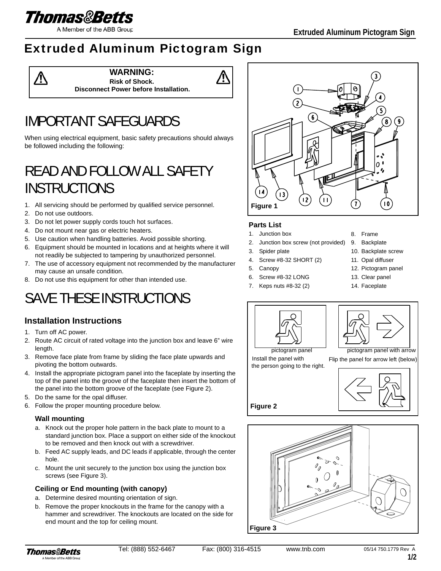

A Member of the ABB Group

## Extruded Aluminum Pictogram Sign



**WARNING: Risk of Shock. Disconnect Power before Installation.**



# IMPORTANT SAFEGUARDS

When using electrical equipment, basic safety precautions should always be followed including the following:

## READ AND FOLLOW ALL SAFETY INSTRUCTIONS

- 1. All servicing should be performed by qualified service personnel.
- 2. Do not use outdoors.
- 3. Do not let power supply cords touch hot surfaces.
- 4. Do not mount near gas or electric heaters.
- 5. Use caution when handling batteries. Avoid possible shorting.
- 6. Equipment should be mounted in locations and at heights where it will not readily be subjected to tampering by unauthorized personnel.
- 7. The use of accessory equipment not recommended by the manufacturer may cause an unsafe condition.
- 8. Do not use this equipment for other than intended use.

## SAVE THESE INSTRUCTIONS

## **Installation Instructions**

- 1. Turn off AC power.
- 2. Route AC circuit of rated voltage into the junction box and leave 6" wire length.
- 3. Remove face plate from frame by sliding the face plate upwards and pivoting the bottom outwards.
- 4. Install the appropriate pictogram panel into the faceplate by inserting the top of the panel into the groove of the faceplate then insert the bottom of the panel into the bottom groove of the faceplate (see Figure 2).
- 5. Do the same for the opal diffuser.
- 6. Follow the proper mounting procedure below.

#### **Wall mounting**

- a. Knock out the proper hole pattern in the back plate to mount to a standard junction box. Place a support on either side of the knockout to be removed and then knock out with a screwdriver.
- b. Feed AC supply leads, and DC leads if applicable, through the center hole.
- c. Mount the unit securely to the junction box using the junction box screws (see Figure 3).

#### **Ceiling or End mounting (with canopy)**

- a. Determine desired mounting orientation of sign.
- b. Remove the proper knockouts in the frame for the canopy with a hammer and screwdriver. The knockouts are located on the side for end mount and the top for ceiling mount.



#### **Parts List**

- 1. Junction box
- 2. Junction box screw (not provided)
- 3. Spider plate
- 4. Screw #8-32 SHORT (2)
- 5. Canopy
- 6. Screw #8-32 LONG
- 7. Keps nuts #8-32 (2)
- 8. Frame
- 9. Backplate
- 10. Backplate screw
- 11. Opal diffuser
- 12. Pictogram panel
- 13. Clear panel
- 14. Faceplate